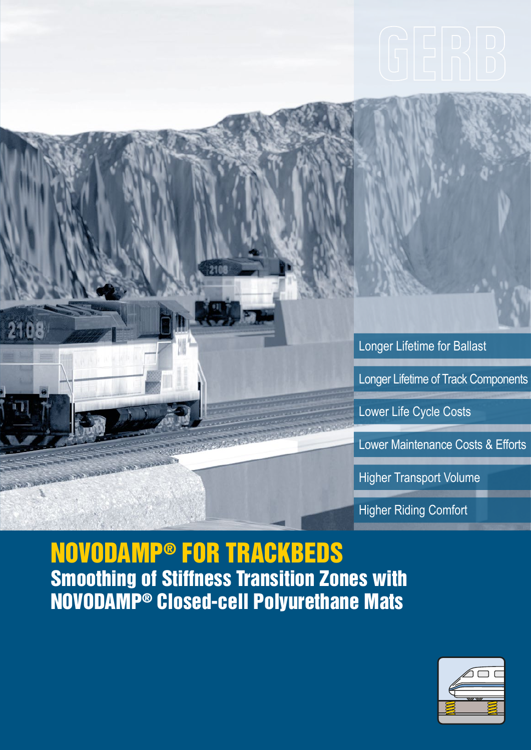Longer Lifetime for Ballast

Longer Lifetime of Track Components

Lower Life Cycle Costs

Lower Maintenance Costs & Efforts

Higher Transport Volume

Higher Riding Comfort

NOVODAMP® FOR TRACKBEDS Smoothing of Stiffness Transition Zones with NOVODAMP® Closed-cell Polyurethane Mats

2108

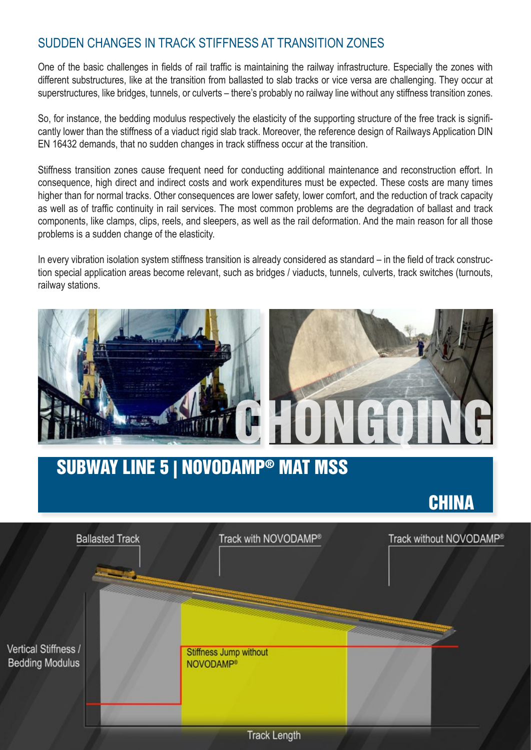## SUDDEN CHANGES IN TRACK STIFFNESS AT TRANSITION ZONES

One of the basic challenges in fields of rail traffic is maintaining the railway infrastructure. Especially the zones with different substructures, like at the transition from ballasted to slab tracks or vice versa are challenging. They occur at superstructures, like bridges, tunnels, or culverts – there's probably no railway line without any stiffness transition zones.

So, for instance, the bedding modulus respectively the elasticity of the supporting structure of the free track is significantly lower than the stiffness of a viaduct rigid slab track. Moreover, the reference design of Railways Application DIN EN 16432 demands, that no sudden changes in track stiffness occur at the transition.

Stiffness transition zones cause frequent need for conducting additional maintenance and reconstruction effort. In consequence, high direct and indirect costs and work expenditures must be expected. These costs are many times higher than for normal tracks. Other consequences are lower safety, lower comfort, and the reduction of track capacity as well as of traffic continuity in rail services. The most common problems are the degradation of ballast and track components, like clamps, clips, reels, and sleepers, as well as the rail deformation. And the main reason for all those problems is a sudden change of the elasticity.

In every vibration isolation system stiffness transition is already considered as standard – in the field of track construction special application areas become relevant, such as bridges / viaducts, tunnels, culverts, track switches (turnouts, railway stations.



# SUBWAY LINE 5 | NOVODAMP® MAT MSS

**CHINA** 

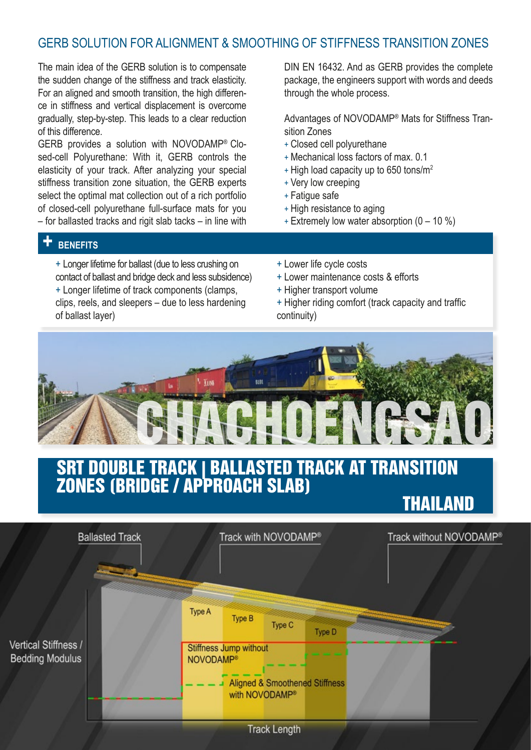## GERB SOLUTION FOR ALIGNMENT & SMOOTHING OF STIFFNESS TRANSITION ZONES

The main idea of the GERB solution is to compensate the sudden change of the stiffness and track elasticity. For an aligned and smooth transition, the high difference in stiffness and vertical displacement is overcome gradually, step-by-step. This leads to a clear reduction of this difference.

GERB provides a solution with NOVODAMP® Closed-cell Polyurethane: With it, GERB controls the elasticity of your track. After analyzing your special stiffness transition zone situation, the GERB experts select the optimal mat collection out of a rich portfolio of closed-cell polyurethane full-surface mats for you – for ballasted tracks and rigit slab tacks – in line with

DIN EN 16432. And as GERB provides the complete package, the engineers support with words and deeds through the whole process.

Advantages of NOVODAMP® Mats for Stiffness Transition Zones

- + Closed cell polyurethane
- + Mechanical loss factors of max. 0.1
- $+$  High load capacity up to 650 tons/m<sup>2</sup>
- + Very low creeping
- + Fatigue safe
- + High resistance to aging
- $+$  Extremely low water absorption (0 10 %)

### **+ BENEFITS**

- + Longer lifetime for ballast (due to less crushing on contact of ballast and bridge deck and less subsidence)
- + Longer lifetime of track components (clamps, clips, reels, and sleepers – due to less hardening of ballast layer)
- + Lower life cycle costs
- + Lower maintenance costs & efforts
- + Higher transport volume
- + Higher riding comfort (track capacity and traffic continuity)



# SRT DOUBLE TRACK | BALLASTED TRACK AT TRANSITION ZONES (BRIDGE / APPROACH SLAB)

# THAILAND

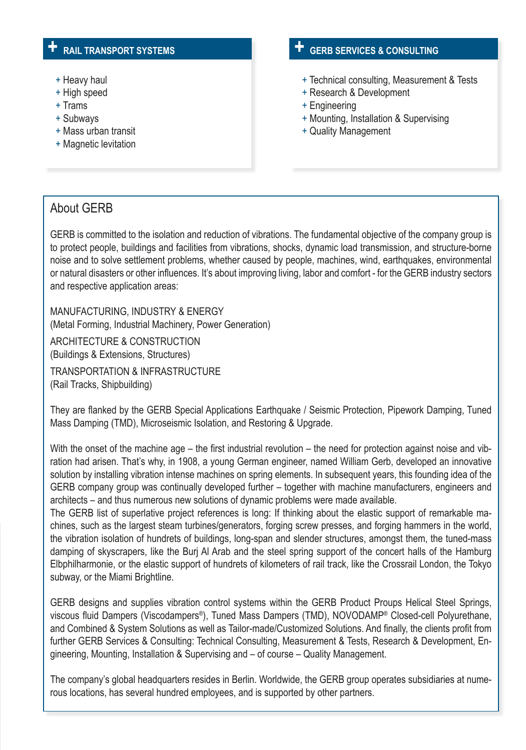### **+ RAIL TRANSPORT SYSTEMS**

- + Heavy haul
- + High speed
- + Trams
- + Subways
- + Mass urban transit
- + Magnetic levitation

#### **+ GERB SERVICES & CONSULTING**

- + Technical consulting, Measurement & Tests
- + Research & Development
- + Engineering
- + Mounting, Installation & Supervising
- + Quality Management

### About GERB

GERB is committed to the isolation and reduction of vibrations. The fundamental objective of the company group is to protect people, buildings and facilities from vibrations, shocks, dynamic load transmission, and structure-borne noise and to solve settlement problems, whether caused by people, machines, wind, earthquakes, environmental or natural disasters or other influences. It's about improving living, labor and comfort - for the GERB industry sectors and respective application areas:

MANUFACTURING, INDUSTRY & ENERGY (Metal Forming, Industrial Machinery, Power Generation)

ARCHITECTURE & CONSTRUCTION (Buildings & Extensions, Structures)

TRANSPORTATION & INFRASTRUCTURE (Rail Tracks, Shipbuilding)

They are flanked by the GERB Special Applications Earthquake / Seismic Protection, Pipework Damping, Tuned Mass Damping (TMD), Microseismic Isolation, and Restoring & Upgrade.

With the onset of the machine age – the first industrial revolution – the need for protection against noise and vibration had arisen. That's why, in 1908, a young German engineer, named William Gerb, developed an innovative solution by installing vibration intense machines on spring elements. In subsequent years, this founding idea of the GERB company group was continually developed further – together with machine manufacturers, engineers and architects – and thus numerous new solutions of dynamic problems were made available.

The GERB list of superlative project references is long: If thinking about the elastic support of remarkable machines, such as the largest steam turbines/generators, forging screw presses, and forging hammers in the world, the vibration isolation of hundrets of buildings, long-span and slender structures, amongst them, the tuned-mass damping of skyscrapers, like the Burj Al Arab and the steel spring support of the concert halls of the Hamburg Elbphilharmonie, or the elastic support of hundrets of kilometers of rail track, like the Crossrail London, the Tokyo subway, or the Miami Brightline.

GERB designs and supplies vibration control systems within the GERB Product Proups Helical Steel Springs, viscous fluid Dampers (Viscodampers®), Tuned Mass Dampers (TMD), NOVODAMP® Closed-cell Polyurethane, and Combined & System Solutions as well as Tailor-made/Customized Solutions. And finally, the clients profit from further GERB Services & Consulting: Technical Consulting, Measurement & Tests, Research & Development, Engineering, Mounting, Installation & Supervising and – of course – Quality Management.

The company's global headquarters resides in Berlin. Worldwide, the GERB group operates subsidiaries at numerous locations, has several hundred employees, and is supported by other partners.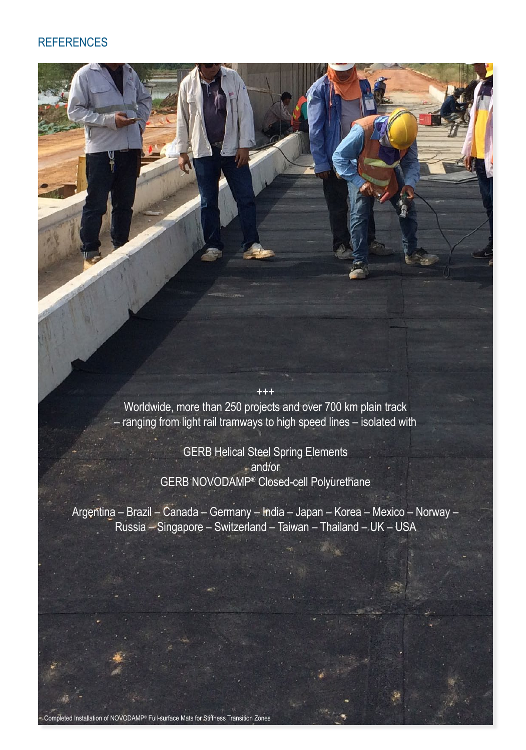#### **REFERENCES**

Worldwide, more than 250 projects and over 700 km plain track – ranging from light rail tramways to high speed lines – isolated with

+++

GERB Helical Steel Spring Elements and/or GERB NOVODAMP® Closed-cell Polyurethane

Argentina – Brazil – Canada – Germany – India – Japan – Korea – Mexico – Norway – Russia – Singapore – Switzerland – Taiwan – Thailand – UK – USA

Completed Installation of NOVODAMP® Full-surface Mats for Stiffness Transition Zones